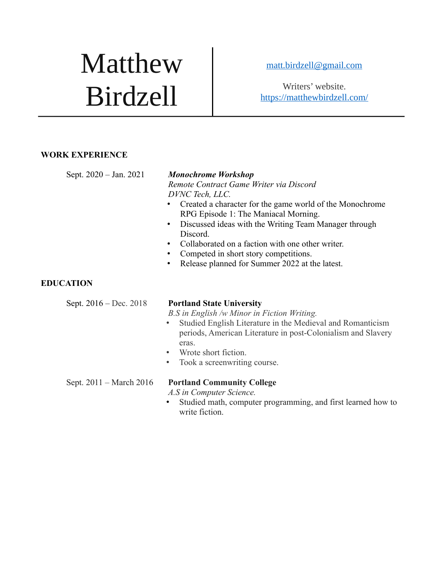# Matthew Birdzell

 [matt.birdzell @gmail.com](mailto:matt.birdzell@gmail.com)

Writers' website. <https://matthewbirdzell.com/>

#### **WORK EXPERIENCE**

Sept. 2020 – Jan. 2021

*Remote Contract Game Writer via Discord DVNC Tech, LLC.*

- Created a character for the game world of the Monochrome RPG Episode 1: The Maniacal Morning.
- Discussed ideas with the Writing Team Manager through Discord.
- Collaborated on a faction with one other writer.
- Competed in short story competitions.
- Release planned for Summer 2022 at the latest.

### **EDUCATION**

#### Sept. 2016 – Dec. 2018 **Portland State University**

*B.S in English /w Minor in Fiction Writing.*

- Studied English Literature in the Medieval and Romanticism periods, American Literature in post-Colonialism and Slavery eras.
- Wrote short fiction.
- Took a screenwriting course.

#### Sept. 2011 – March 2016 **Portland Community College**

*A.S in Computer Science.*

• Studied math, computer programming, and first learned how to write fiction.